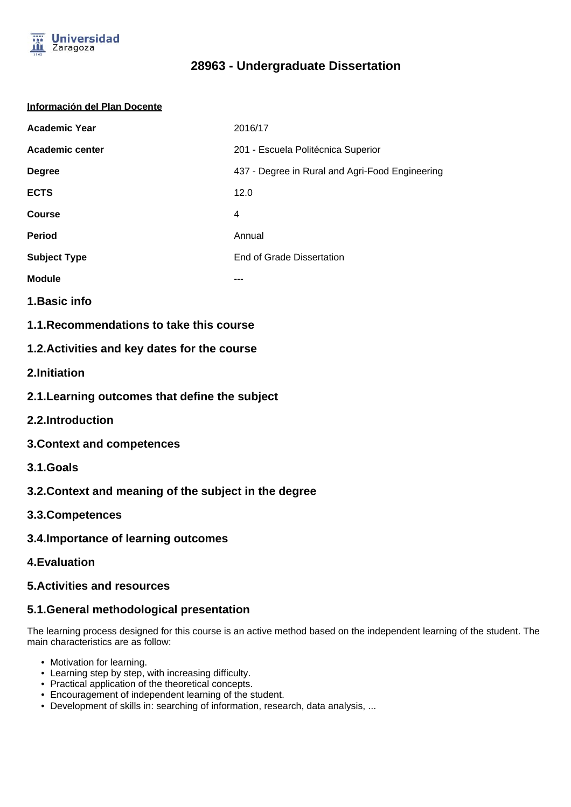

# **28963 - Undergraduate Dissertation**

#### **Información del Plan Docente**

| <b>Academic Year</b>   | 2016/17                                         |
|------------------------|-------------------------------------------------|
| <b>Academic center</b> | 201 - Escuela Politécnica Superior              |
| <b>Degree</b>          | 437 - Degree in Rural and Agri-Food Engineering |
| <b>ECTS</b>            | 12.0                                            |
| <b>Course</b>          | 4                                               |
| <b>Period</b>          | Annual                                          |
| <b>Subject Type</b>    | End of Grade Dissertation                       |
| <b>Module</b>          | ---                                             |

- **1.Basic info**
- **1.1.Recommendations to take this course**

### **1.2.Activities and key dates for the course**

- **2.Initiation**
- **2.1.Learning outcomes that define the subject**
- **2.2.Introduction**
- **3.Context and competences**
- **3.1.Goals**
- **3.2.Context and meaning of the subject in the degree**
- **3.3.Competences**
- **3.4.Importance of learning outcomes**
- **4.Evaluation**

#### **5.Activities and resources**

### **5.1.General methodological presentation**

The learning process designed for this course is an active method based on the independent learning of the student. The main characteristics are as follow:

- Motivation for learning.
- Learning step by step, with increasing difficulty.
- Practical application of the theoretical concepts.
- Encouragement of independent learning of the student.
- Development of skills in: searching of information, research, data analysis, ...